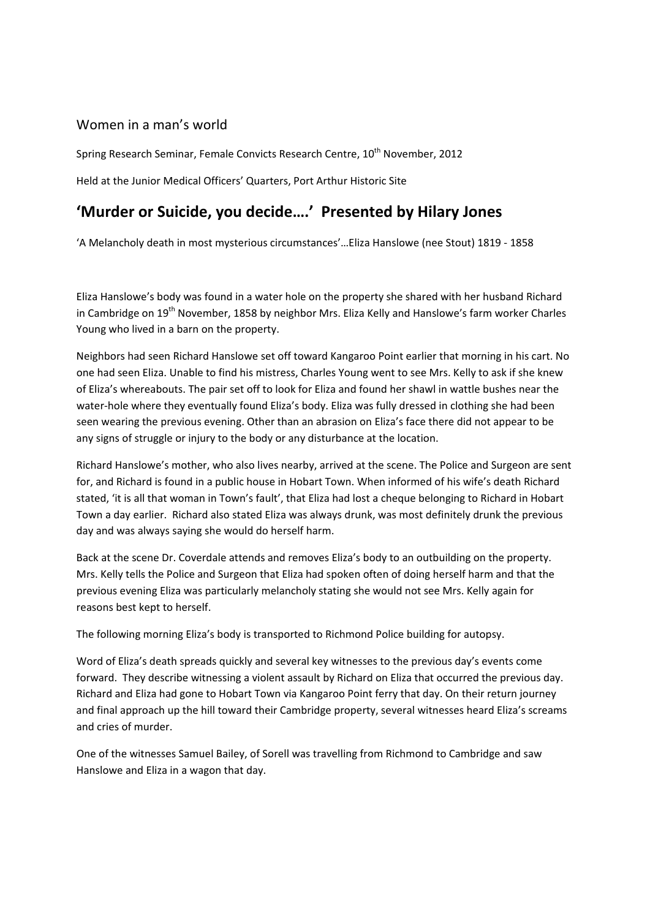# Women in a man's world

Spring Research Seminar, Female Convicts Research Centre, 10<sup>th</sup> November, 2012

Held at the Junior Medical Officers' Quarters, Port Arthur Historic Site

# **'Murder or Suicide, you decide….' Presented by Hilary Jones**

'A Melancholy death in most mysterious circumstances'…Eliza Hanslowe (nee Stout) 1819 ‐ 1858

Eliza Hanslowe's body was found in a water hole on the property she shared with her husband Richard in Cambridge on 19<sup>th</sup> November, 1858 by neighbor Mrs. Eliza Kelly and Hanslowe's farm worker Charles Young who lived in a barn on the property.

Neighbors had seen Richard Hanslowe set off toward Kangaroo Point earlier that morning in his cart. No one had seen Eliza. Unable to find his mistress, Charles Young went to see Mrs. Kelly to ask if she knew of Eliza's whereabouts. The pair set off to look for Eliza and found her shawl in wattle bushes near the water-hole where they eventually found Eliza's body. Eliza was fully dressed in clothing she had been seen wearing the previous evening. Other than an abrasion on Eliza's face there did not appear to be any signs of struggle or injury to the body or any disturbance at the location.

Richard Hanslowe's mother, who also lives nearby, arrived at the scene. The Police and Surgeon are sent for, and Richard is found in a public house in Hobart Town. When informed of his wife's death Richard stated, 'it is all that woman in Town's fault', that Eliza had lost a cheque belonging to Richard in Hobart Town a day earlier. Richard also stated Eliza was always drunk, was most definitely drunk the previous day and was always saying she would do herself harm.

Back at the scene Dr. Coverdale attends and removes Eliza's body to an outbuilding on the property. Mrs. Kelly tells the Police and Surgeon that Eliza had spoken often of doing herself harm and that the previous evening Eliza was particularly melancholy stating she would not see Mrs. Kelly again for reasons best kept to herself.

The following morning Eliza's body is transported to Richmond Police building for autopsy.

Word of Eliza's death spreads quickly and several key witnesses to the previous day's events come forward. They describe witnessing a violent assault by Richard on Eliza that occurred the previous day. Richard and Eliza had gone to Hobart Town via Kangaroo Point ferry that day. On their return journey and final approach up the hill toward their Cambridge property, several witnesses heard Eliza's screams and cries of murder.

One of the witnesses Samuel Bailey, of Sorell was travelling from Richmond to Cambridge and saw Hanslowe and Eliza in a wagon that day.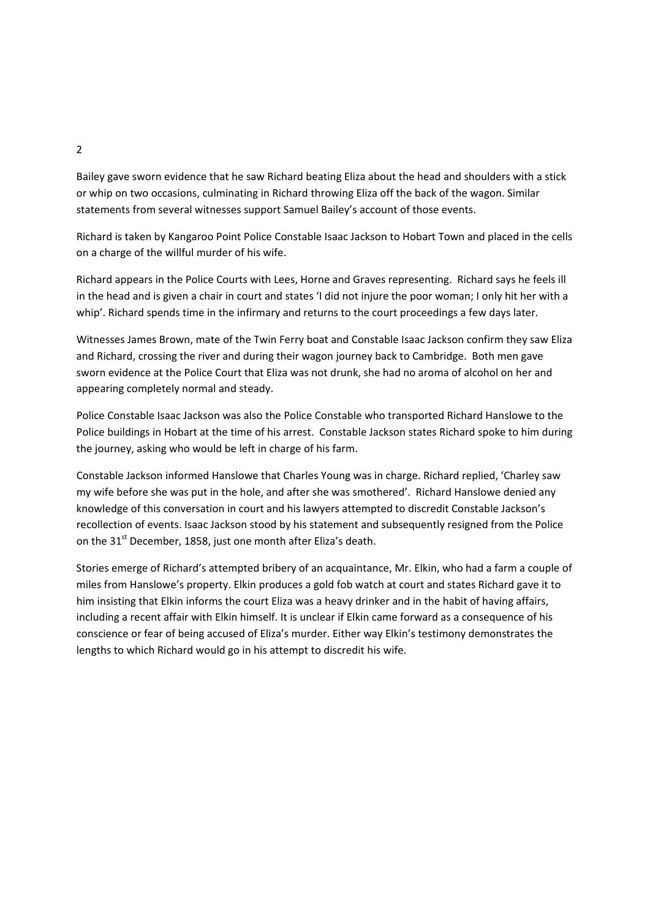Bailey gave sworn evidence that he saw Richard beating Eliza about the head and shoulders with a stick or whip on two occasions, culminating in Richard throwing Eliza off the back of the wagon. Similar statements from several witnesses support Samuel Bailey's account of those events.

Richard is taken by Kangaroo Point Police Constable Isaac Jackson to Hobart Town and placed in the cells on a charge of the willful murder of his wife.

Richard appears in the Police Courts with Lees, Horne and Graves representing. Richard says he feels ill in the head and is given a chair in court and states 'I did not injure the poor woman; I only hit her with a whip'. Richard spends time in the infirmary and returns to the court proceedings a few days later.

Witnesses James Brown, mate of the Twin Ferry boat and Constable Isaac Jackson confirm they saw Eliza and Richard, crossing the river and during their wagon journey back to Cambridge. Both men gave sworn evidence at the Police Court that Eliza was not drunk, she had no aroma of alcohol on her and appearing completely normal and steady.

Police Constable Isaac Jackson was also the Police Constable who transported Richard Hanslowe to the Police buildings in Hobart at the time of his arrest. Constable Jackson states Richard spoke to him during the journey, asking who would be left in charge of his farm.

Constable Jackson informed Hanslowe that Charles Young was in charge. Richard replied, 'Charley saw my wife before she was put in the hole, and after she was smothered'. Richard Hanslowe denied any knowledge of this conversation in court and his lawyers attempted to discredit Constable Jackson's recollection of events. Isaac Jackson stood by his statement and subsequently resigned from the Police on the 31<sup>st</sup> December, 1858, just one month after Eliza's death.

Stories emerge of Richard's attempted bribery of an acquaintance, Mr. Elkin, who had a farm a couple of miles from Hanslowe's property. Elkin produces a gold fob watch at court and states Richard gave it to him insisting that Elkin informs the court Eliza was a heavy drinker and in the habit of having affairs, including a recent affair with Elkin himself. It is unclear if Elkin came forward as a consequence of his conscience or fear of being accused of Eliza's murder. Either way Elkin's testimony demonstrates the lengths to which Richard would go in his attempt to discredit his wife.

2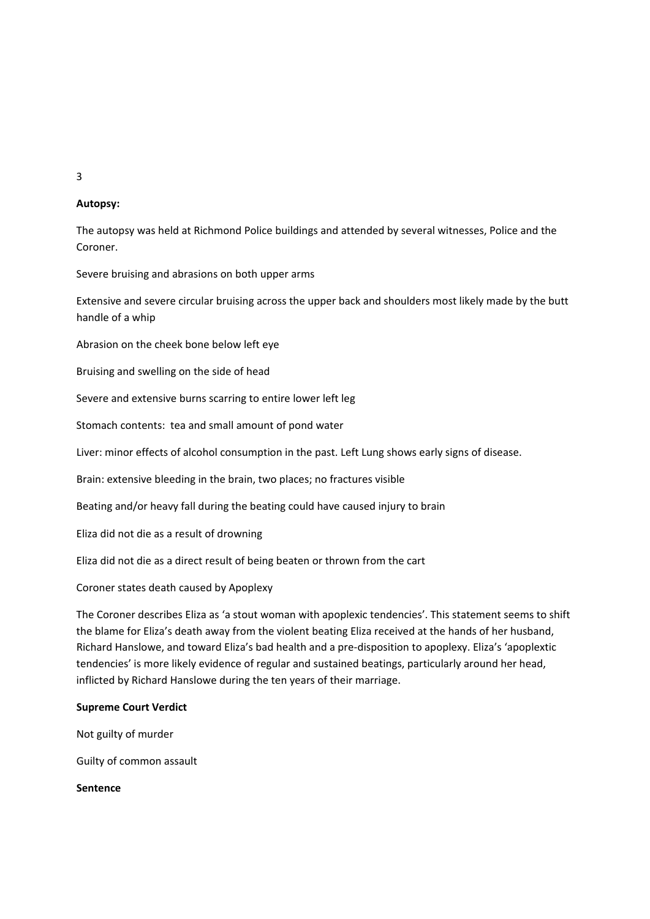3

# **Autopsy:**

The autopsy was held at Richmond Police buildings and attended by several witnesses, Police and the Coroner.

Severe bruising and abrasions on both upper arms

Extensive and severe circular bruising across the upper back and shoulders most likely made by the butt handle of a whip

Abrasion on the cheek bone below left eye

Bruising and swelling on the side of head

Severe and extensive burns scarring to entire lower left leg

Stomach contents: tea and small amount of pond water

Liver: minor effects of alcohol consumption in the past. Left Lung shows early signs of disease.

Brain: extensive bleeding in the brain, two places; no fractures visible

Beating and/or heavy fall during the beating could have caused injury to brain

Eliza did not die as a result of drowning

Eliza did not die as a direct result of being beaten or thrown from the cart

Coroner states death caused by Apoplexy

The Coroner describes Eliza as 'a stout woman with apoplexic tendencies'. This statement seems to shift the blame for Eliza's death away from the violent beating Eliza received at the hands of her husband, Richard Hanslowe, and toward Eliza's bad health and a pre‐disposition to apoplexy. Eliza's 'apoplextic tendencies' is more likely evidence of regular and sustained beatings, particularly around her head, inflicted by Richard Hanslowe during the ten years of their marriage.

#### **Supreme Court Verdict**

Not guilty of murder

Guilty of common assault

**Sentence**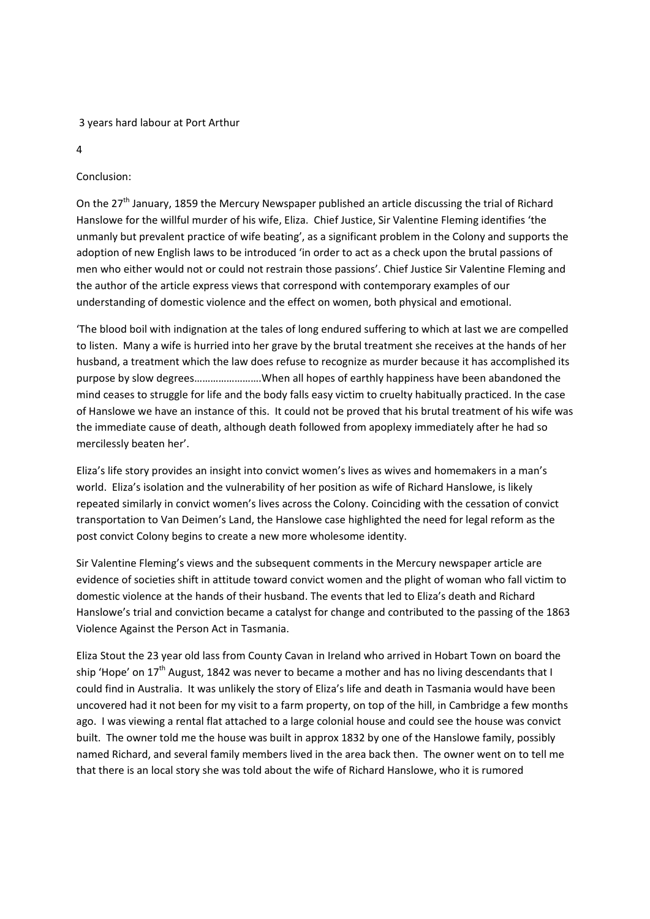### 3 years hard labour at Port Arthur

4

# Conclusion:

On the 27<sup>th</sup> January, 1859 the Mercury Newspaper published an article discussing the trial of Richard Hanslowe for the willful murder of his wife, Eliza. Chief Justice, Sir Valentine Fleming identifies 'the unmanly but prevalent practice of wife beating', as a significant problem in the Colony and supports the adoption of new English laws to be introduced 'in order to act as a check upon the brutal passions of men who either would not or could not restrain those passions'. Chief Justice Sir Valentine Fleming and the author of the article express views that correspond with contemporary examples of our understanding of domestic violence and the effect on women, both physical and emotional.

'The blood boil with indignation at the tales of long endured suffering to which at last we are compelled to listen. Many a wife is hurried into her grave by the brutal treatment she receives at the hands of her husband, a treatment which the law does refuse to recognize as murder because it has accomplished its purpose by slow degrees…………………….When all hopes of earthly happiness have been abandoned the mind ceases to struggle for life and the body falls easy victim to cruelty habitually practiced. In the case of Hanslowe we have an instance of this. It could not be proved that his brutal treatment of his wife was the immediate cause of death, although death followed from apoplexy immediately after he had so mercilessly beaten her'.

Eliza's life story provides an insight into convict women's lives as wives and homemakers in a man's world. Eliza's isolation and the vulnerability of her position as wife of Richard Hanslowe, is likely repeated similarly in convict women's lives across the Colony. Coinciding with the cessation of convict transportation to Van Deimen's Land, the Hanslowe case highlighted the need for legal reform as the post convict Colony begins to create a new more wholesome identity.

Sir Valentine Fleming's views and the subsequent comments in the Mercury newspaper article are evidence of societies shift in attitude toward convict women and the plight of woman who fall victim to domestic violence at the hands of their husband. The events that led to Eliza's death and Richard Hanslowe's trial and conviction became a catalyst for change and contributed to the passing of the 1863 Violence Against the Person Act in Tasmania.

Eliza Stout the 23 year old lass from County Cavan in Ireland who arrived in Hobart Town on board the ship 'Hope' on  $17<sup>th</sup>$  August, 1842 was never to became a mother and has no living descendants that I could find in Australia. It was unlikely the story of Eliza's life and death in Tasmania would have been uncovered had it not been for my visit to a farm property, on top of the hill, in Cambridge a few months ago. I was viewing a rental flat attached to a large colonial house and could see the house was convict built. The owner told me the house was built in approx 1832 by one of the Hanslowe family, possibly named Richard, and several family members lived in the area back then. The owner went on to tell me that there is an local story she was told about the wife of Richard Hanslowe, who it is rumored